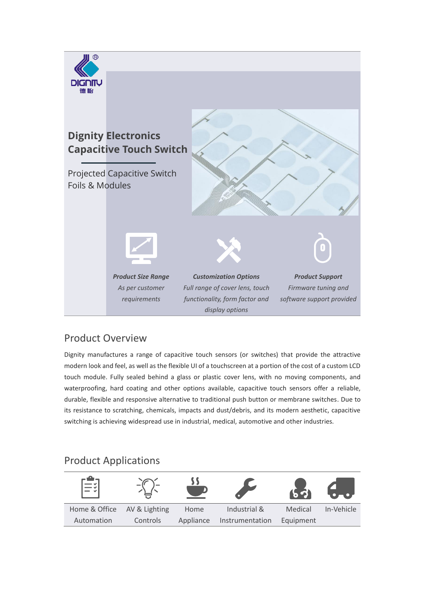

### Product Overview

Dignity manufactures a range of capacitive touch sensors (or switches) that provide the attractive modern look and feel, as well as the flexible UI of a touchscreen at a portion of the cost of a custom LCD touch module. Fully sealed behind a glass or plastic cover lens, with no moving components, and waterproofing, hard coating and other options available, capacitive touch sensors offer a reliable, durable, flexible and responsive alternative to traditional push button or membrane switches. Due to its resistance to scratching, chemicals, impacts and dust/debris, and its modern aesthetic, capacitive switching is achieving widespread use in industrial, medical, automotive and other industries.

# Product Applications

| $\equiv$      |               |           |                 |           |            |
|---------------|---------------|-----------|-----------------|-----------|------------|
| Home & Office | AV & Lighting | Home      | Industrial &    | Medical   | In-Vehicle |
| Automation    | Controls      | Appliance | Instrumentation | Equipment |            |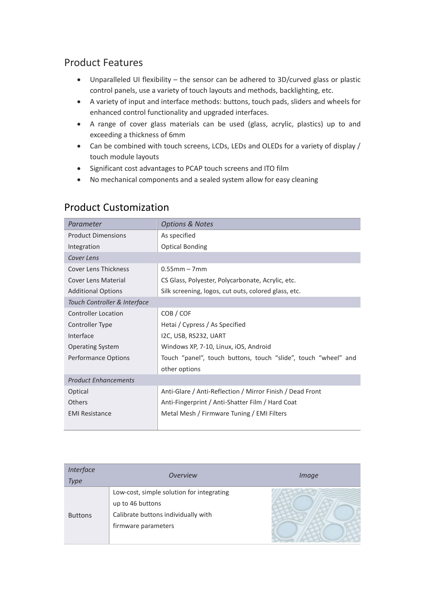## Product Features

- Unparalleled UI flexibility the sensor can be adhered to 3D/curved glass or plastic control panels, use a variety of touch layouts and methods, backlighting, etc.
- A variety of input and interface methods: buttons, touch pads, sliders and wheels for enhanced control functionality and upgraded interfaces.
- A range of cover glass materials can be used (glass, acrylic, plastics) up to and exceeding a thickness of 6mm
- Can be combined with touch screens, LCDs, LEDs and OLEDs for a variety of display / touch module layouts
- Significant cost advantages to PCAP touch screens and ITO film
- No mechanical components and a sealed system allow for easy cleaning

| Parameter                    | <b>Options &amp; Notes</b>                                     |
|------------------------------|----------------------------------------------------------------|
| <b>Product Dimensions</b>    | As specified                                                   |
| Integration                  | <b>Optical Bonding</b>                                         |
| Cover Lens                   |                                                                |
| <b>Cover Lens Thickness</b>  | $0.55$ mm – 7mm                                                |
| <b>Cover Lens Material</b>   | CS Glass, Polyester, Polycarbonate, Acrylic, etc.              |
| <b>Additional Options</b>    | Silk screening, logos, cut outs, colored glass, etc.           |
| Touch Controller & Interface |                                                                |
| <b>Controller Location</b>   | COB / COF                                                      |
| Controller Type              | Hetai / Cypress / As Specified                                 |
| Interface                    | I2C, USB, RS232, UART                                          |
| <b>Operating System</b>      | Windows XP, 7-10, Linux, iOS, Android                          |
| Performance Options          | Touch "panel", touch buttons, touch "slide", touch "wheel" and |
|                              | other options                                                  |
| <b>Product Enhancements</b>  |                                                                |
| Optical                      | Anti-Glare / Anti-Reflection / Mirror Finish / Dead Front      |
| Others                       | Anti-Fingerprint / Anti-Shatter Film / Hard Coat               |
| <b>EMI Resistance</b>        | Metal Mesh / Firmware Tuning / EMI Filters                     |

### Product Customization

| <b>Interface</b><br><b>Type</b> | <i><b>Overview</b></i>                                                                                                      | Image |
|---------------------------------|-----------------------------------------------------------------------------------------------------------------------------|-------|
| <b>Buttons</b>                  | Low-cost, simple solution for integrating<br>up to 46 buttons<br>Calibrate buttons individually with<br>firmware parameters |       |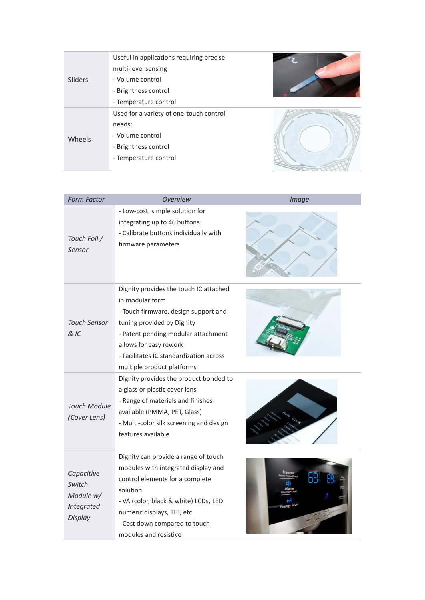| Sliders | Useful in applications requiring precise<br>multi-level sensing |  |
|---------|-----------------------------------------------------------------|--|
|         | - Volume control                                                |  |
|         | - Brightness control                                            |  |
|         | - Temperature control                                           |  |
| Wheels  | Used for a variety of one-touch control                         |  |
|         | needs:                                                          |  |
|         | - Volume control                                                |  |
|         | - Brightness control                                            |  |
|         | - Temperature control                                           |  |
|         |                                                                 |  |

| <b>Form Factor</b>                                                       | <b>Overview</b>                                                                                                                                                                                                                                                           | <b>Image</b> |
|--------------------------------------------------------------------------|---------------------------------------------------------------------------------------------------------------------------------------------------------------------------------------------------------------------------------------------------------------------------|--------------|
| Touch Foil /<br>Sensor                                                   | - Low-cost, simple solution for<br>integrating up to 46 buttons<br>- Calibrate buttons individually with<br>firmware parameters                                                                                                                                           |              |
| <b>Touch Sensor</b><br>& IC                                              | Dignity provides the touch IC attached<br>in modular form<br>- Touch firmware, design support and<br>tuning provided by Dignity<br>- Patent pending modular attachment<br>allows for easy rework<br>- Facilitates IC standardization across<br>multiple product platforms |              |
| <b>Touch Module</b><br>(Cover Lens)                                      | Dignity provides the product bonded to<br>a glass or plastic cover lens<br>- Range of materials and finishes<br>available (PMMA, PET, Glass)<br>- Multi-color silk screening and design<br>features available                                                             |              |
| Capacitive<br>Switch<br>Module w/<br><b>Integrated</b><br><b>Display</b> | Dignity can provide a range of touch<br>modules with integrated display and<br>control elements for a complete<br>solution.<br>- VA (color, black & white) LCDs, LED<br>numeric displays, TFT, etc.<br>- Cost down compared to touch<br>modules and resistive             | NOTE LIE     |